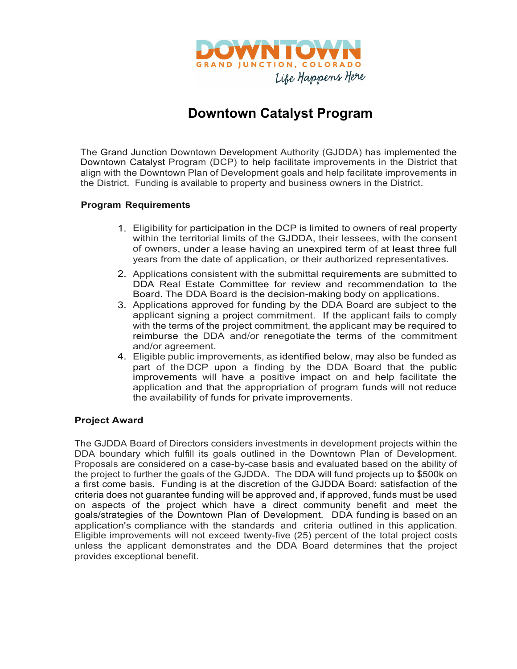

# **Downtown Catalyst Program**

The Grand Junction Downtown Development Authority (GJDDA) has implemented the Downtown Catalyst Program (DCP) to help facilitate improvements in the District that align with the Downtown Plan of Development goals and help facilitate improvements in the District. Funding is available to property and business owners in the District.

# **Program Requirements**

- 1. Eligibility for participation in the DCP is limited to owners of real property within the territorial limits of the GJDDA, their lessees, with the consent of owners, under a lease having an unexpired term of at least three full years from the date of application, or their authorized representatives.
- 2. Applications consistent with the submittal requirements are submitted to DDA Real Estate Committee for review and recommendation to the Board. The DDA Board is the decision-making body on applications.
- 3. Applications approved for funding by the DDA Board are subject to the applicant signing a project commitment. If the applicant fails to comply with the terms of the project commitment, the applicant may be required to reimburse the DDA and/or renegotiate the terms of the commitment and/or agreement.
- 4. Eligible public improvements, as identified below, may also be funded as part of the DCP upon a finding by the DDA Board that the public improvements will have a positive impact on and help facilitate the application and that the appropriation of program funds will not reduce the availability of funds for private improvements.

#### **Project Award**

The GJDDA Board of Directors considers investments in development projects within the DDA boundary which fulfill its goals outlined in the Downtown Plan of Development. Proposals are considered on a case-by-case basis and evaluated based on the ability of the project to further the goals of the GJDDA. The DDA will fund projects up to \$500k on a first come basis. Funding is at the discretion of the GJDDA Board: satisfaction of the criteria does not guarantee funding will be approved and, if approved, funds must be used on aspects of the project which have a direct community benefit and meet the goals/strategies of the Downtown Plan of Development. DDA funding is based on an application's compliance with the standards and criteria outlined in this application. Eligible improvements will not exceed twenty-five (25) percent of the total project costs unless the applicant demonstrates and the DDA Board determines that the project provides exceptional benefit.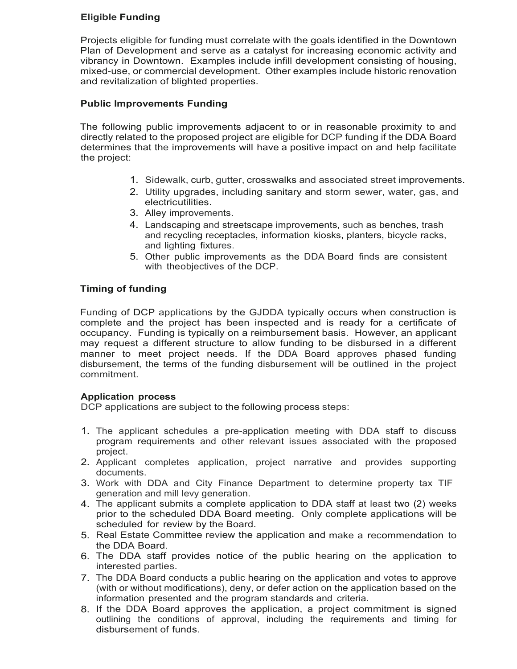## **Eligible Funding**

Projects eligible for funding must correlate with the goals identified in the Downtown Plan of Development and serve as a catalyst for increasing economic activity and vibrancy in Downtown. Examples include infill development consisting of housing, mixed-use, or commercial development. Other examples include historic renovation and revitalization of blighted properties.

## **Public Improvements Funding**

The following public improvements adjacent to or in reasonable proximity to and directly related to the proposed project are eligible for DCP funding if the DDA Board determines that the improvements will have a positive impact on and help facilitate the project:

- 1. Sidewalk, curb, gutter, crosswalks and associated street improvements.
- 2. Utility upgrades, including sanitary and storm sewer, water, gas, and electricutilities.
- 3. Alley improvements.
- 4. Landscaping and streetscape improvements, such as benches, trash and recycling receptacles, information kiosks, planters, bicycle racks, and lighting fixtures.
- 5. Other public improvements as the DDA Board finds are consistent with theobjectives of the DCP.

# **Timing of funding**

Funding of DCP applications by the GJDDA typically occurs when construction is complete and the project has been inspected and is ready for a certificate of occupancy. Funding is typically on a reimbursement basis. However, an applicant may request a different structure to allow funding to be disbursed in a different manner to meet project needs. If the DDA Board approves phased funding disbursement, the terms of the funding disbursement will be outlined in the project commitment.

#### **Application process**

DCP applications are subject to the following process steps:

- 1. The applicant schedules a pre-application meeting with DDA staff to discuss program requirements and other relevant issues associated with the proposed project.
- 2. Applicant completes application, project narrative and provides supporting documents.
- 3. Work with DDA and City Finance Department to determine property tax TIF generation and mill levy generation.
- 4. The applicant submits a complete application to DDA staff at least two (2) weeks prior to the scheduled DDA Board meeting. Only complete applications will be scheduled for review by the Board.
- 5. Real Estate Committee review the application and make a recommendation to the DDA Board.
- 6. The DDA staff provides notice of the public hearing on the application to interested parties.
- 7. The DDA Board conducts a public hearing on the application and votes to approve (with or without modifications), deny, or defer action on the application based on the information presented and the program standards and criteria.
- 8. If the DDA Board approves the application, a project commitment is signed outlining the conditions of approval, including the requirements and timing for disbursement of funds.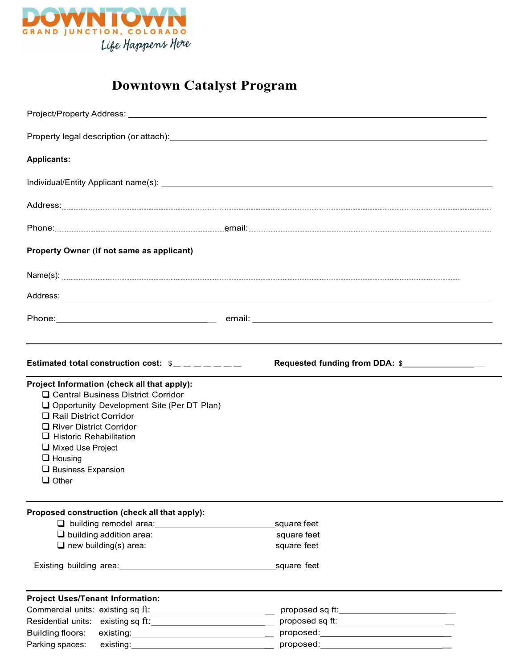

# **Downtown Catalyst Program**

| Project/Property Address: North American Control of the Control of the Control of the Control of the Control of the Control of the Control of the Control of the Control of the Control of the Control of the Control of the C                                                                               |                                                                                                                                            |
|--------------------------------------------------------------------------------------------------------------------------------------------------------------------------------------------------------------------------------------------------------------------------------------------------------------|--------------------------------------------------------------------------------------------------------------------------------------------|
|                                                                                                                                                                                                                                                                                                              |                                                                                                                                            |
| <b>Applicants:</b>                                                                                                                                                                                                                                                                                           |                                                                                                                                            |
|                                                                                                                                                                                                                                                                                                              |                                                                                                                                            |
|                                                                                                                                                                                                                                                                                                              |                                                                                                                                            |
|                                                                                                                                                                                                                                                                                                              |                                                                                                                                            |
| Property Owner (if not same as applicant)                                                                                                                                                                                                                                                                    |                                                                                                                                            |
|                                                                                                                                                                                                                                                                                                              |                                                                                                                                            |
|                                                                                                                                                                                                                                                                                                              |                                                                                                                                            |
|                                                                                                                                                                                                                                                                                                              |                                                                                                                                            |
|                                                                                                                                                                                                                                                                                                              |                                                                                                                                            |
| Estimated total construction cost: $\omega_{\text{max}} = 2$                                                                                                                                                                                                                                                 | Requested funding from DDA: \$                                                                                                             |
| Project Information (check all that apply):<br>□ Central Business District Corridor<br>Opportunity Development Site (Per DT Plan)<br>Rail District Corridor<br>River District Corridor<br>$\Box$ Historic Rehabilitation<br>Mixed Use Project<br>$\Box$ Housing<br>$\Box$ Business Expansion<br>$\Box$ Other |                                                                                                                                            |
| Proposed construction (check all that apply):<br>$\Box$ building addition area:<br>$\Box$ new building(s) area:<br>Existing building area: <b>Existing</b> building area:                                                                                                                                    | square feet<br>square feet<br>square feet<br>square feet                                                                                   |
| <b>Project Uses/Tenant Information:</b><br>Building floors:                                                                                                                                                                                                                                                  | proposed sq ft:___________________________<br>proposed sq ft:_______________________________<br>proposed:_________________________________ |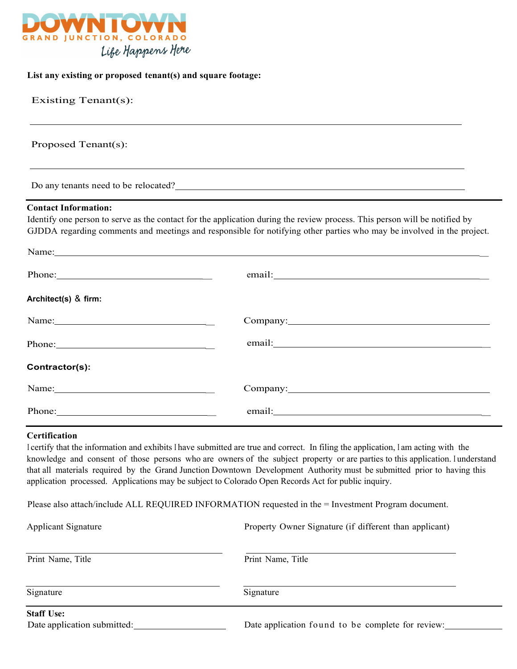

#### **List any existing or proposed tenant(s) and square footage:**

| Existing Tenant(s):                                                                                                                                                                                                           |                                                                                                                                                                                                                                                                                                                                                                      |
|-------------------------------------------------------------------------------------------------------------------------------------------------------------------------------------------------------------------------------|----------------------------------------------------------------------------------------------------------------------------------------------------------------------------------------------------------------------------------------------------------------------------------------------------------------------------------------------------------------------|
| Proposed Tenant(s):                                                                                                                                                                                                           |                                                                                                                                                                                                                                                                                                                                                                      |
|                                                                                                                                                                                                                               | ,我们也不会有什么。""我们的人,我们也不会有什么?""我们的人,我们也不会有什么?""我们的人,我们也不会有什么?""我们的人,我们也不会有什么?""我们的人<br>Do any tenants need to be relocated?                                                                                                                                                                                                                                             |
| <b>Contact Information:</b>                                                                                                                                                                                                   | Identify one person to serve as the contact for the application during the review process. This person will be notified by                                                                                                                                                                                                                                           |
|                                                                                                                                                                                                                               | GJDDA regarding comments and meetings and responsible for notifying other parties who may be involved in the project.                                                                                                                                                                                                                                                |
|                                                                                                                                                                                                                               | Name: Name: Name: Name: Name: Name: Name: Name: Name: Name: Name: Name: Name: Name: Name: Name: Name: Name: Name: Name: Name: Name: Name: Name: Name: Name: Name: Name: Name: Name: Name: Name: Name: Name: Name: Name: Name:                                                                                                                                        |
|                                                                                                                                                                                                                               |                                                                                                                                                                                                                                                                                                                                                                      |
| Architect(s) & firm:                                                                                                                                                                                                          |                                                                                                                                                                                                                                                                                                                                                                      |
| Name: Name and the same state of the same state of the same state of the same state of the same state of the same state of the same state of the same state of the same state of the same state of the same state of the same | Company: Company:                                                                                                                                                                                                                                                                                                                                                    |
|                                                                                                                                                                                                                               |                                                                                                                                                                                                                                                                                                                                                                      |
| Contractor(s):                                                                                                                                                                                                                |                                                                                                                                                                                                                                                                                                                                                                      |
| Name:                                                                                                                                                                                                                         | Company: <u>company</u>                                                                                                                                                                                                                                                                                                                                              |
|                                                                                                                                                                                                                               |                                                                                                                                                                                                                                                                                                                                                                      |
| Certification                                                                                                                                                                                                                 | I certify that the information and exhibits I have submitted are true and correct. In filing the application, I am acting with the<br>this to a contract the contract of the state of the total of the state of the state of the state of the state of the state of the state of the state of the state of the state of the state of the state of the state of the s |

knowledge and consent of those persons who are owners of the subject property or are parties to this application. <sup>I</sup> understand that all materials required by the Grand Junction Downtown Development Authority must be submitted prior to having this application processed. Applications may be subject to Colorado Open Records Act for public inquiry.

Please also attach/include ALL REQUIRED INFORMATION requested in the = Investment Program document.

| <b>Applicant Signature</b>                       | Property Owner Signature (if different than applicant) |
|--------------------------------------------------|--------------------------------------------------------|
| Print Name, Title                                | Print Name, Title                                      |
| Signature                                        | Signature                                              |
| <b>Staff Use:</b><br>Date application submitted: | Date application found to be complete for review:      |